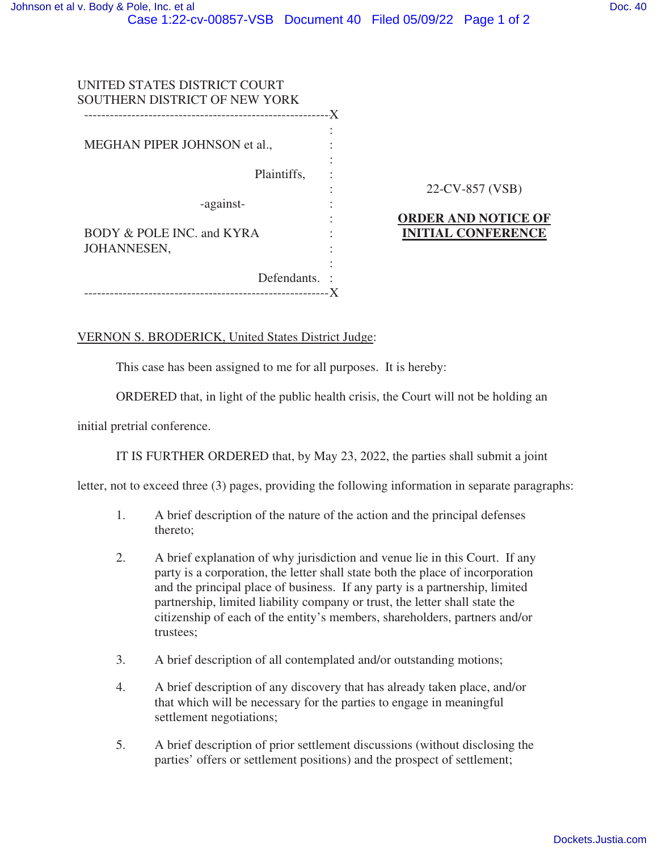| UNITED STATES DISTRICT COURT<br>SOUTHERN DISTRICT OF NEW YORK | -X                                                      |
|---------------------------------------------------------------|---------------------------------------------------------|
| MEGHAN PIPER JOHNSON et al.,                                  |                                                         |
| Plaintiffs,                                                   |                                                         |
| -against-                                                     | 22-CV-857 (VSB)                                         |
| BODY & POLE INC. and KYRA                                     | <b>ORDER AND NOTICE OF</b><br><b>INITIAL CONFERENCE</b> |
| JOHANNESEN,<br>Defendants.                                    |                                                         |
| ------------------                                            |                                                         |

## VERNON S. BRODERICK, United States District Judge:

This case has been assigned to me for all purposes. It is hereby:

ORDERED that, in light of the public health crisis, the Court will not be holding an

initial pretrial conference.

IT IS FURTHER ORDERED that, by May 23, 2022, the parties shall submit a joint

letter, not to exceed three (3) pages, providing the following information in separate paragraphs:

- 1. A brief description of the nature of the action and the principal defenses thereto;
- 2. A brief explanation of why jurisdiction and venue lie in this Court. If any party is a corporation, the letter shall state both the place of incorporation and the principal place of business. If any party is a partnership, limited partnership, limited liability company or trust, the letter shall state the citizenship of each of the entity's members, shareholders, partners and/or trustees;
- 3. A brief description of all contemplated and/or outstanding motions;
- 4. A brief description of any discovery that has already taken place, and/or that which will be necessary for the parties to engage in meaningful settlement negotiations;
- 5. A brief description of prior settlement discussions (without disclosing the parties' offers or settlement positions) and the prospect of settlement;